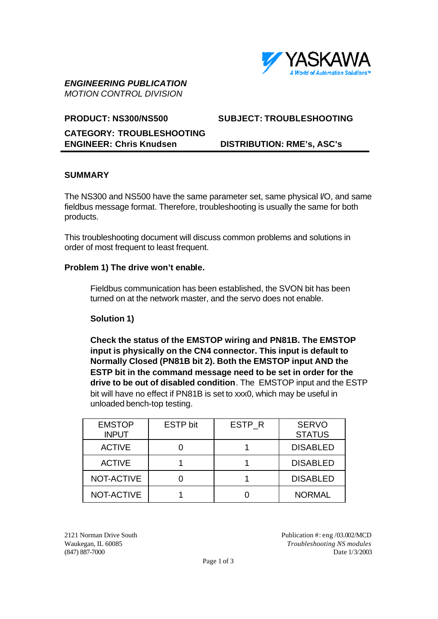

# *ENGINEERING PUBLICATION MOTION CONTROL DIVISION*

## **CATEGORY: TROUBLESHOOTING ENGINEER: Chris Knudsen DISTRIBUTION: RME's, ASC's**

# **PRODUCT: NS300/NS500 SUBJECT: TROUBLESHOOTING**

## **SUMMARY**

The NS300 and NS500 have the same parameter set, same physical I/O, and same fieldbus message format. Therefore, troubleshooting is usually the same for both products.

This troubleshooting document will discuss common problems and solutions in order of most frequent to least frequent.

## **Problem 1) The drive won't enable.**

Fieldbus communication has been established, the SVON bit has been turned on at the network master, and the servo does not enable.

## **Solution 1)**

**Check the status of the EMSTOP wiring and PN81B. The EMSTOP input is physically on the CN4 connector. This input is default to Normally Closed (PN81B bit 2). Both the EMSTOP input AND the ESTP bit in the command message need to be set in order for the drive to be out of disabled condition**. The EMSTOP input and the ESTP bit will have no effect if PN81B is set to xxx0, which may be useful in unloaded bench-top testing.

| <b>EMSTOP</b><br><b>INPUT</b> | <b>ESTP bit</b> | ESTP R | <b>SERVO</b><br><b>STATUS</b> |
|-------------------------------|-----------------|--------|-------------------------------|
| <b>ACTIVE</b>                 |                 |        | <b>DISABLED</b>               |
| <b>ACTIVE</b>                 |                 |        | <b>DISABLED</b>               |
| NOT-ACTIVE                    |                 |        | <b>DISABLED</b>               |
| NOT-ACTIVE                    |                 |        | <b>NORMAL</b>                 |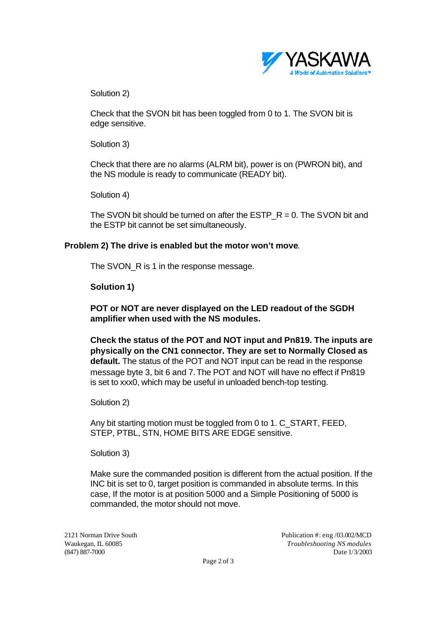

Solution 2)

Check that the SVON bit has been toggled from 0 to 1. The SVON bit is edge sensitive.

Solution 3)

Check that there are no alarms (ALRM bit), power is on (PWRON bit), and the NS module is ready to communicate (READY bit).

Solution 4)

The SVON bit should be turned on after the ESTP  $R = 0$ . The SVON bit and the ESTP bit cannot be set simultaneously.

#### **Problem 2) The drive is enabled but the motor won't move**.

The SVON\_R is 1 in the response message.

**Solution 1)**

**POT or NOT are never displayed on the LED readout of the SGDH amplifier when used with the NS modules.**

**Check the status of the POT and NOT input and Pn819. The inputs are physically on the CN1 connector. They are set to Normally Closed as default.** The status of the POT and NOT input can be read in the response message byte 3, bit 6 and 7.The POT and NOT will have no effect if Pn819 is set to xxx0, which may be useful in unloaded bench-top testing.

Solution 2)

Any bit starting motion must be toggled from 0 to 1. C\_START, FEED, STEP, PTBL, STN, HOME BITS ARE EDGE sensitive.

Solution 3)

Make sure the commanded position is different from the actual position. If the INC bit is set to 0, target position is commanded in absolute terms. In this case, If the motor is at position 5000 and a Simple Positioning of 5000 is commanded, the motor should not move.